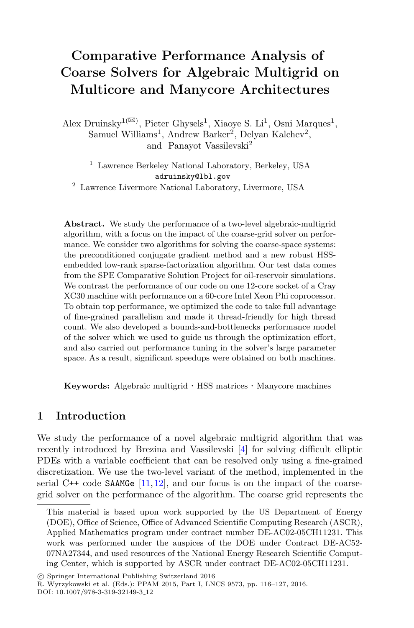# **Comparative Performance Analysis of Coarse Solvers for Algebraic Multigrid on Multicore and Manycore Architectures**

Alex Druinsky<sup>1( $\boxtimes$ )</sup>, Pieter Ghysels<sup>1</sup>, Xiaoye S. Li<sup>1</sup>, Osni Marques<sup>1</sup>, Samuel Williams<sup>1</sup>, Andrew Barker<sup>2</sup>, Delyan Kalchev<sup>2</sup>, and Panayot Vassilevski<sup>2</sup>

<sup>1</sup> Lawrence Berkeley National Laboratory, Berkeley, USA adruinsky@lbl.gov

<sup>2</sup> Lawrence Livermore National Laboratory, Livermore, USA

**Abstract.** We study the performance of a two-level algebraic-multigrid algorithm, with a focus on the impact of the coarse-grid solver on performance. We consider two algorithms for solving the coarse-space systems: the preconditioned conjugate gradient method and a new robust HSSembedded low-rank sparse-factorization algorithm. Our test data comes from the SPE Comparative Solution Project for oil-reservoir simulations. We contrast the performance of our code on one 12-core socket of a Cray XC30 machine with performance on a 60-core Intel Xeon Phi coprocessor. To obtain top performance, we optimized the code to take full advantage of fine-grained parallelism and made it thread-friendly for high thread count. We also developed a bounds-and-bottlenecks performance model of the solver which we used to guide us through the optimization effort, and also carried out performance tuning in the solver's large parameter space. As a result, significant speedups were obtained on both machines.

**Keywords:** Algebraic multigrid · HSS matrices · Manycore machines

## **1 Introduction**

We study the performance of a novel algebraic multigrid algorithm that was recently introduced by Brezina and Vassilevski [\[4](#page-10-0)] for solving difficult elliptic PDEs with a variable coefficient that can be resolved only using a fine-grained discretization. We use the two-level variant of the method, implemented in the serial  $C^{++}$  code SAAMGe [\[11,](#page-11-0)[12\]](#page-11-1), and our focus is on the impact of the coarsegrid solver on the performance of the algorithm. The coarse grid represents the

This material is based upon work supported by the US Department of Energy (DOE), Office of Science, Office of Advanced Scientific Computing Research (ASCR), Applied Mathematics program under contract number DE-AC02-05CH11231. This work was performed under the auspices of the DOE under Contract DE-AC52- 07NA27344, and used resources of the National Energy Research Scientific Computing Center, which is supported by ASCR under contract DE-AC02-05CH11231.

<sup>-</sup>c Springer International Publishing Switzerland 2016

R. Wyrzykowski et al. (Eds.): PPAM 2015, Part I, LNCS 9573, pp. 116–127, 2016.

DOI: 10.1007/978-3-319-32149-3 12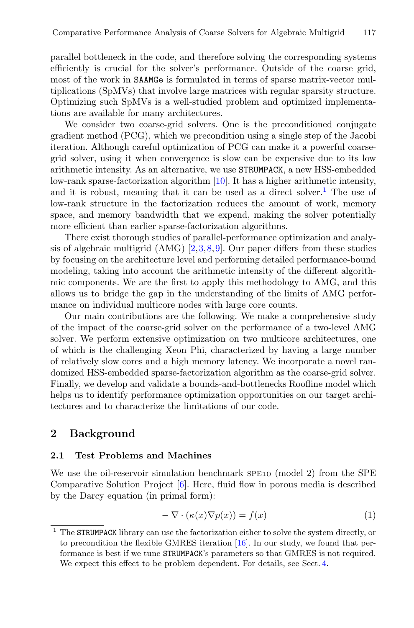parallel bottleneck in the code, and therefore solving the corresponding systems efficiently is crucial for the solver's performance. Outside of the coarse grid, most of the work in SAAMGe is formulated in terms of sparse matrix-vector multiplications (SpMVs) that involve large matrices with regular sparsity structure. Optimizing such SpMVs is a well-studied problem and optimized implementations are available for many architectures.

We consider two coarse-grid solvers. One is the preconditioned conjugate gradient method (PCG), which we precondition using a single step of the Jacobi iteration. Although careful optimization of PCG can make it a powerful coarsegrid solver, using it when convergence is slow can be expensive due to its low arithmetic intensity. As an alternative, we use STRUMPACK, a new HSS-embedded low-rank sparse-factorization algorithm [\[10\]](#page-11-2). It has a higher arithmetic intensity, and it is robust, meaning that it can be used as a direct solver.<sup>[1](#page-1-0)</sup> The use of low-rank structure in the factorization reduces the amount of work, memory space, and memory bandwidth that we expend, making the solver potentially more efficient than earlier sparse-factorization algorithms.

There exist thorough studies of parallel-performance optimization and analysis of algebraic multigrid (AMG)  $[2,3,8,9]$  $[2,3,8,9]$  $[2,3,8,9]$  $[2,3,8,9]$  $[2,3,8,9]$ . Our paper differs from these studies by focusing on the architecture level and performing detailed performance-bound modeling, taking into account the arithmetic intensity of the different algorithmic components. We are the first to apply this methodology to AMG, and this allows us to bridge the gap in the understanding of the limits of AMG performance on individual multicore nodes with large core counts.

Our main contributions are the following. We make a comprehensive study of the impact of the coarse-grid solver on the performance of a two-level AMG solver. We perform extensive optimization on two multicore architectures, one of which is the challenging Xeon Phi, characterized by having a large number of relatively slow cores and a high memory latency. We incorporate a novel randomized HSS-embedded sparse-factorization algorithm as the coarse-grid solver. Finally, we develop and validate a bounds-and-bottlenecks Roofline model which helps us to identify performance optimization opportunities on our target architectures and to characterize the limitations of our code.

## **2 Background**

#### **2.1 Test Problems and Machines**

We use the oil-reservoir simulation benchmark  $SPE10$  (model 2) from the SPE Comparative Solution Project [\[6\]](#page-10-5). Here, fluid flow in porous media is described by the Darcy equation (in primal form):

$$
-\nabla \cdot (\kappa(x)\nabla p(x)) = f(x) \tag{1}
$$

<span id="page-1-0"></span> $^{\rm 1}$  The STRUMPACK library can use the factorization either to solve the system directly, or to precondition the flexible GMRES iteration [\[16](#page-11-3)]. In our study, we found that performance is best if we tune STRUMPACK's parameters so that GMRES is not required. We expect this effect to be problem dependent. For details, see Sect. [4.](#page-6-0)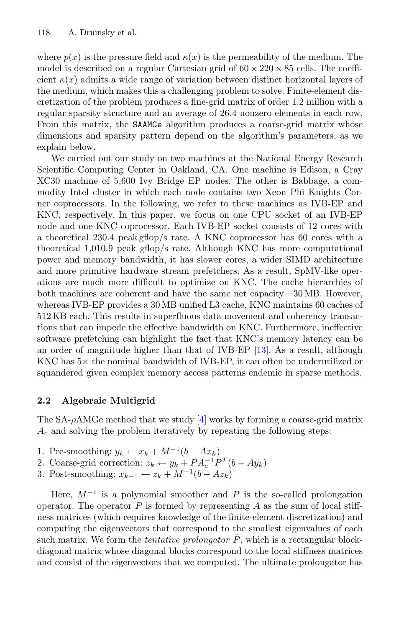where  $p(x)$  is the pressure field and  $\kappa(x)$  is the permeability of the medium. The model is described on a regular Cartesian grid of  $60 \times 220 \times 85$  cells. The coefficient  $\kappa(x)$  admits a wide range of variation between distinct horizontal layers of the medium, which makes this a challenging problem to solve. Finite-element discretization of the problem produces a fine-grid matrix of order 1.2 million with a regular sparsity structure and an average of 26.4 nonzero elements in each row. From this matrix, the SAAMGe algorithm produces a coarse-grid matrix whose dimensions and sparsity pattern depend on the algorithm's parameters, as we explain below.

We carried out our study on two machines at the National Energy Research Scientific Computing Center in Oakland, CA. One machine is Edison, a Cray XC30 machine of 5,600 Ivy Bridge EP nodes. The other is Babbage, a commodity Intel cluster in which each node contains two Xeon Phi Knights Corner coprocessors. In the following, we refer to these machines as IVB-EP and KNC, respectively. In this paper, we focus on one CPU socket of an IVB-EP node and one KNC coprocessor. Each IVB-EP socket consists of 12 cores with a theoretical 230.4 peak gflop/s rate. A KNC coprocessor has 60 cores with a theoretical 1,010.9 peak gflop/s rate. Although KNC has more computational power and memory bandwidth, it has slower cores, a wider SIMD architecture and more primitive hardware stream prefetchers. As a result, SpMV-like operations are much more difficult to optimize on KNC. The cache hierarchies of both machines are coherent and have the same net capacity—30 MB. However, whereas IVB-EP provides a 30 MB unified L3 cache, KNC maintains 60 caches of 512 KB each. This results in superfluous data movement and coherency transactions that can impede the effective bandwidth on KNC. Furthermore, ineffective software prefetching can highlight the fact that KNC's memory latency can be an order of magnitude higher than that of IVB-EP [\[13](#page-11-4)]. As a result, although KNC has  $5\times$  the nominal bandwidth of IVB-EP, it can often be underutilized or squandered given complex memory access patterns endemic in sparse methods.

#### **2.2 Algebraic Multigrid**

The SA- $\rho$ AMGe method that we study [\[4\]](#page-10-0) works by forming a coarse-grid matrix A*<sup>c</sup>* and solving the problem iteratively by repeating the following steps:

- 1. Pre-smoothing:  $y_k \leftarrow x_k + M^{-1}(b Ax_k)$
- 2. Coarse-grid correction:  $z_k \leftarrow y_k + PA_c^{-1}P^T(b Ay_k)$
- 3. Post-smoothing:  $x_{k+1} \leftarrow z_k + M^{-1}(b Az_k)$

Here,  $M^{-1}$  is a polynomial smoother and P is the so-called prolongation operator. The operator  $P$  is formed by representing  $A$  as the sum of local stiffness matrices (which requires knowledge of the finite-element discretization) and computing the eigenvectors that correspond to the smallest eigenvalues of each such matrix. We form the *tentative prolongator*  $\overline{P}$ , which is a rectangular blockdiagonal matrix whose diagonal blocks correspond to the local stiffness matrices and consist of the eigenvectors that we computed. The ultimate prolongator has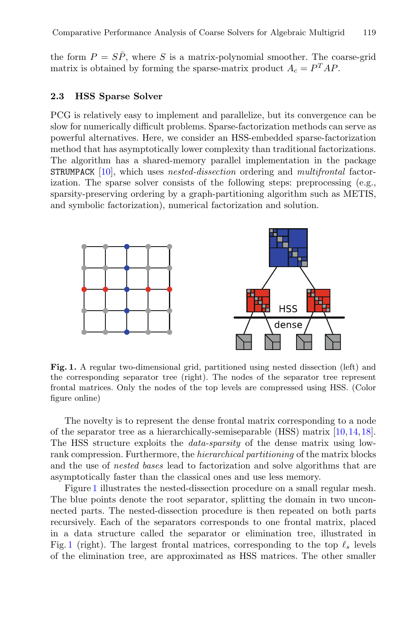the form  $P = S\overline{P}$ , where S is a matrix-polynomial smoother. The coarse-grid matrix is obtained by forming the sparse-matrix product  $A_c = P^T A P$ .

#### **2.3 HSS Sparse Solver**

PCG is relatively easy to implement and parallelize, but its convergence can be slow for numerically difficult problems. Sparse-factorization methods can serve as powerful alternatives. Here, we consider an HSS-embedded sparse-factorization method that has asymptotically lower complexity than traditional factorizations. The algorithm has a shared-memory parallel implementation in the package STRUMPACK [\[10](#page-11-2)], which uses *nested-dissection* ordering and *multifrontal* factorization. The sparse solver consists of the following steps: preprocessing (e.g., sparsity-preserving ordering by a graph-partitioning algorithm such as METIS, and symbolic factorization), numerical factorization and solution.



<span id="page-3-0"></span>**Fig. 1.** A regular two-dimensional grid, partitioned using nested dissection (left) and the corresponding separator tree (right). The nodes of the separator tree represent frontal matrices. Only the nodes of the top levels are compressed using HSS. (Color figure online)

The novelty is to represent the dense frontal matrix corresponding to a node of the separator tree as a hierarchically-semiseparable (HSS) matrix [\[10](#page-11-2)[,14](#page-11-5),[18\]](#page-11-6). The HSS structure exploits the *data-sparsity* of the dense matrix using lowrank compression. Furthermore, the *hierarchical partitioning* of the matrix blocks and the use of *nested bases* lead to factorization and solve algorithms that are asymptotically faster than the classical ones and use less memory.

Figure [1](#page-3-0) illustrates the nested-dissection procedure on a small regular mesh. The blue points denote the root separator, splitting the domain in two unconnected parts. The nested-dissection procedure is then repeated on both parts recursively. Each of the separators corresponds to one frontal matrix, placed in a data structure called the separator or elimination tree, illustrated in Fig. [1](#page-3-0) (right). The largest frontal matrices, corresponding to the top  $\ell_s$  levels of the elimination tree, are approximated as HSS matrices. The other smaller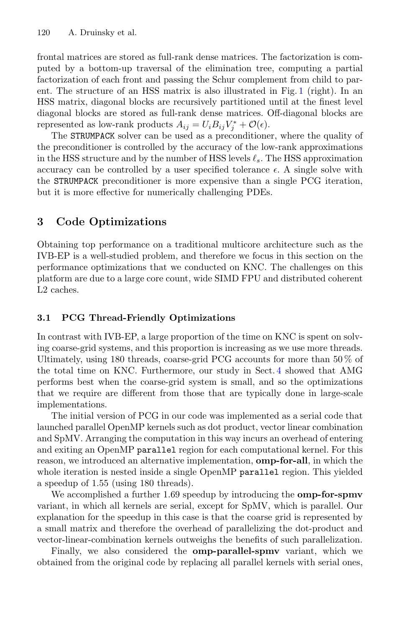frontal matrices are stored as full-rank dense matrices. The factorization is computed by a bottom-up traversal of the elimination tree, computing a partial factorization of each front and passing the Schur complement from child to parent. The structure of an HSS matrix is also illustrated in Fig. [1](#page-3-0) (right). In an HSS matrix, diagonal blocks are recursively partitioned until at the finest level diagonal blocks are stored as full-rank dense matrices. Off-diagonal blocks are represented as low-rank products  $A_{ij} = U_i B_{ij} V_j^* + \mathcal{O}(\epsilon)$ .

The STRUMPACK solver can be used as a preconditioner, where the quality of the preconditioner is controlled by the accuracy of the low-rank approximations in the HSS structure and by the number of HSS levels  $\ell_s$ . The HSS approximation accuracy can be controlled by a user specified tolerance  $\epsilon$ . A single solve with the STRUMPACK preconditioner is more expensive than a single PCG iteration, but it is more effective for numerically challenging PDEs.

## **3 Code Optimizations**

Obtaining top performance on a traditional multicore architecture such as the IVB-EP is a well-studied problem, and therefore we focus in this section on the performance optimizations that we conducted on KNC. The challenges on this platform are due to a large core count, wide SIMD FPU and distributed coherent L2 caches.

## **3.1 PCG Thread-Friendly Optimizations**

In contrast with IVB-EP, a large proportion of the time on KNC is spent on solving coarse-grid systems, and this proportion is increasing as we use more threads. Ultimately, using 180 threads, coarse-grid PCG accounts for more than  $50\%$  of the total time on KNC. Furthermore, our study in Sect. [4](#page-6-0) showed that AMG performs best when the coarse-grid system is small, and so the optimizations that we require are different from those that are typically done in large-scale implementations.

The initial version of PCG in our code was implemented as a serial code that launched parallel OpenMP kernels such as dot product, vector linear combination and SpMV. Arranging the computation in this way incurs an overhead of entering and exiting an OpenMP parallel region for each computational kernel. For this reason, we introduced an alternative implementation, **omp-for-all**, in which the whole iteration is nested inside a single OpenMP parallel region. This yielded a speedup of 1.55 (using 180 threads).

We accomplished a further 1.69 speedup by introducing the **omp-for-spmv** variant, in which all kernels are serial, except for SpMV, which is parallel. Our explanation for the speedup in this case is that the coarse grid is represented by a small matrix and therefore the overhead of parallelizing the dot-product and vector-linear-combination kernels outweighs the benefits of such parallelization.

Finally, we also considered the **omp-parallel-spmv** variant, which we obtained from the original code by replacing all parallel kernels with serial ones,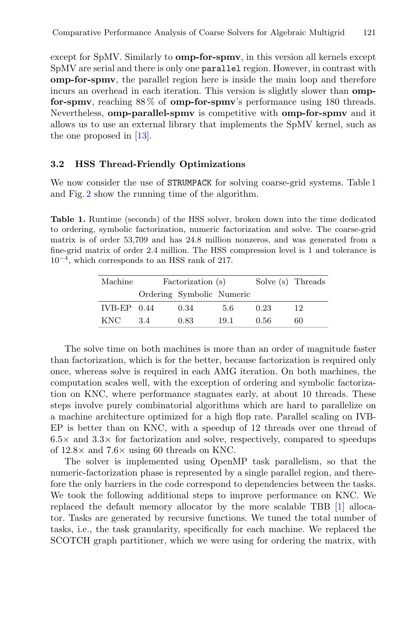except for SpMV. Similarly to **omp-for-spmv**, in this version all kernels except SpMV are serial and there is only one parallel region. However, in contrast with **omp-for-spmv**, the parallel region here is inside the main loop and therefore incurs an overhead in each iteration. This version is slightly slower than **ompfor-spmv**, reaching 88 % of **omp-for-spmv**'s performance using 180 threads. Nevertheless, **omp-parallel-spmv** is competitive with **omp-for-spmv** and it allows us to use an external library that implements the SpMV kernel, such as the one proposed in [\[13\]](#page-11-4).

#### <span id="page-5-1"></span>**3.2 HSS Thread-Friendly Optimizations**

We now consider the use of **STRUMPACK** for solving coarse-grid systems. Table [1](#page-5-0) and Fig. [2](#page-6-1) show the running time of the algorithm.

<span id="page-5-0"></span>**Table 1.** Runtime (seconds) of the HSS solver, broken down into the time dedicated to ordering, symbolic factorization, numeric factorization and solve. The coarse-grid matrix is of order 53,709 and has 24.8 million nonzeros, and was generated from a fine-grid matrix of order 2.4 million. The HSS compression level is 1 and tolerance is 10*−*<sup>4</sup>, which corresponds to an HSS rank of 217.

| Machine       |     | Factorization (s)         | Solve (s) Threads |      |    |
|---------------|-----|---------------------------|-------------------|------|----|
|               |     | Ordering Symbolic Numeric |                   |      |    |
| $IVB-EP$ 0.44 |     | 0.34                      | -5.6              | 0.23 | 12 |
| KNC.          | 3.4 | 0.83                      | 19.1              | 0.56 | 60 |

The solve time on both machines is more than an order of magnitude faster than factorization, which is for the better, because factorization is required only once, whereas solve is required in each AMG iteration. On both machines, the computation scales well, with the exception of ordering and symbolic factorization on KNC, where performance stagnates early, at about 10 threads. These steps involve purely combinatorial algorithms which are hard to parallelize on a machine architecture optimized for a high flop rate. Parallel scaling on IVB-EP is better than on KNC, with a speedup of 12 threads over one thread of  $6.5\times$  and  $3.3\times$  for factorization and solve, respectively, compared to speedups of  $12.8\times$  and  $7.6\times$  using 60 threads on KNC.

The solver is implemented using OpenMP task parallelism, so that the numeric-factorization phase is represented by a single parallel region, and therefore the only barriers in the code correspond to dependencies between the tasks. We took the following additional steps to improve performance on KNC. We replaced the default memory allocator by the more scalable TBB [\[1](#page-10-6)] allocator. Tasks are generated by recursive functions. We tuned the total number of tasks, i.e., the task granularity, specifically for each machine. We replaced the SCOTCH graph partitioner, which we were using for ordering the matrix, with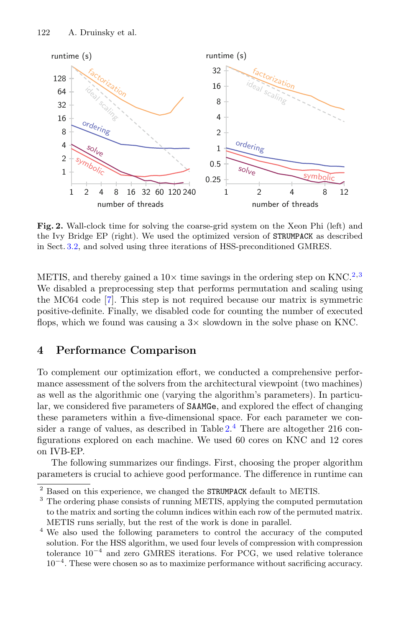

<span id="page-6-1"></span>**Fig. 2.** Wall-clock time for solving the coarse-grid system on the Xeon Phi (left) and the Ivy Bridge EP (right). We used the optimized version of STRUMPACK as described in Sect. [3.2,](#page-5-1) and solved using three iterations of HSS-preconditioned GMRES.

METIS, and thereby gained a  $10\times$  time savings in the ordering step on KNC.<sup>[2](#page-6-2)[,3](#page-6-3)</sup> We disabled a preprocessing step that performs permutation and scaling using the MC64 code [\[7](#page-10-7)]. This step is not required because our matrix is symmetric positive-definite. Finally, we disabled code for counting the number of executed flops, which we found was causing a  $3\times$  slowdown in the solve phase on KNC.

## <span id="page-6-0"></span>**4 Performance Comparison**

To complement our optimization effort, we conducted a comprehensive performance assessment of the solvers from the architectural viewpoint (two machines) as well as the algorithmic one (varying the algorithm's parameters). In particular, we considered five parameters of SAAMGe, and explored the effect of changing these parameters within a five-dimensional space. For each parameter we consider a range of values, as described in Table  $2.4$  $2.4$  There are altogether 216 configurations explored on each machine. We used 60 cores on KNC and 12 cores on IVB-EP.

The following summarizes our findings. First, choosing the proper algorithm parameters is crucial to achieve good performance. The difference in runtime can

<span id="page-6-2"></span>Based on this experience, we changed the STRUMPACK default to METIS.

<span id="page-6-3"></span><sup>&</sup>lt;sup>3</sup> The ordering phase consists of running METIS, applying the computed permutation to the matrix and sorting the column indices within each row of the permuted matrix. METIS runs serially, but the rest of the work is done in parallel.

<span id="page-6-4"></span><sup>&</sup>lt;sup>4</sup> We also used the following parameters to control the accuracy of the computed solution. For the HSS algorithm, we used four levels of compression with compression tolerance 10*−*<sup>4</sup> and zero GMRES iterations. For PCG, we used relative tolerance 10*−*<sup>4</sup>. These were chosen so as to maximize performance without sacrificing accuracy.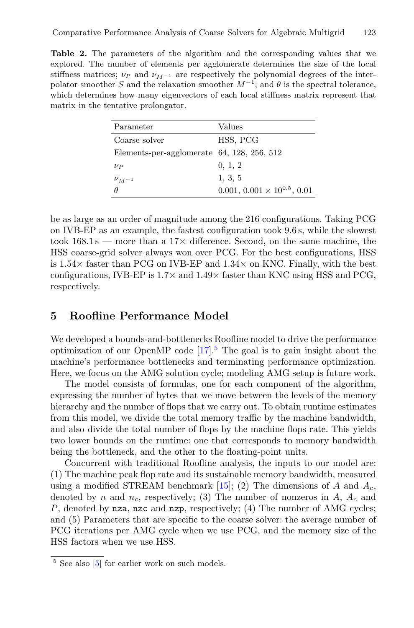<span id="page-7-0"></span>**Table 2.** The parameters of the algorithm and the corresponding values that we explored. The number of elements per agglomerate determines the size of the local stiffness matrices;  $\nu_P$  and  $\nu_{M^{-1}}$  are respectively the polynomial degrees of the interpolator smoother S and the relaxation smoother  $M^{-1}$ ; and  $\theta$  is the spectral tolerance, which determines how many eigenvectors of each local stiffness matrix represent that matrix in the tentative prolongator.

| Parameter                                     | Values                               |
|-----------------------------------------------|--------------------------------------|
| Coarse solver                                 | HSS, PCG                             |
| Elements-per-agglomerate $64$ , 128, 256, 512 |                                      |
| $\nu_{P}$                                     | 0, 1, 2                              |
| $\nu_{M-1}$                                   | 1, 3, 5                              |
|                                               | $0.001, 0.001 \times 10^{0.5}, 0.01$ |

be as large as an order of magnitude among the 216 configurations. Taking PCG on IVB-EP as an example, the fastest configuration took 9.6 s, while the slowest took  $168.1 s$  — more than a  $17 \times$  difference. Second, on the same machine, the HSS coarse-grid solver always won over PCG. For the best configurations, HSS is  $1.54\times$  faster than PCG on IVB-EP and  $1.34\times$  on KNC. Finally, with the best configurations, IVB-EP is  $1.7\times$  and  $1.49\times$  faster than KNC using HSS and PCG, respectively.

#### **5 Roofline Performance Model**

We developed a bounds-and-bottlenecks Roofline model to drive the performance optimization of our OpenMP code  $[17]$ <sup>[5](#page-7-1)</sup>. The goal is to gain insight about the machine's performance bottlenecks and terminating performance optimization. Here, we focus on the AMG solution cycle; modeling AMG setup is future work.

The model consists of formulas, one for each component of the algorithm, expressing the number of bytes that we move between the levels of the memory hierarchy and the number of flops that we carry out. To obtain runtime estimates from this model, we divide the total memory traffic by the machine bandwidth, and also divide the total number of flops by the machine flops rate. This yields two lower bounds on the runtime: one that corresponds to memory bandwidth being the bottleneck, and the other to the floating-point units.

Concurrent with traditional Roofline analysis, the inputs to our model are: (1) The machine peak flop rate and its sustainable memory bandwidth, measured using a modified STREAM benchmark  $[15]$ ; (2) The dimensions of A and  $A_c$ , denoted by *n* and  $n_c$ , respectively; (3) The number of nonzeros in  $A$ ,  $A_c$  and P, denoted by  $nza$ ,  $nzc$  and  $nzp$ , respectively; (4) The number of AMG cycles; and (5) Parameters that are specific to the coarse solver: the average number of PCG iterations per AMG cycle when we use PCG, and the memory size of the HSS factors when we use HSS.

<span id="page-7-1"></span><sup>&</sup>lt;sup>5</sup> See also [\[5\]](#page-10-8) for earlier work on such models.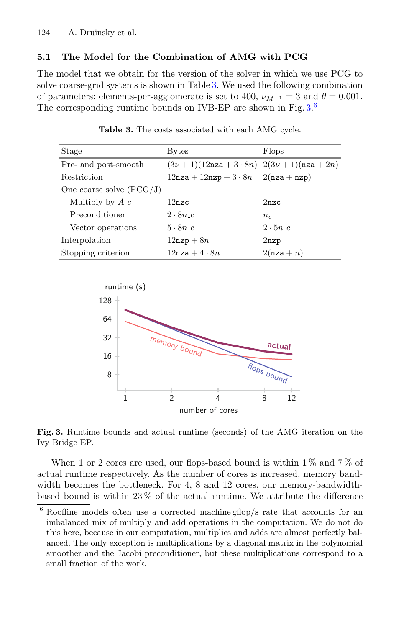### <span id="page-8-3"></span>**5.1 The Model for the Combination of AMG with PCG**

The model that we obtain for the version of the solver in which we use PCG to solve coarse-grid systems is shown in Table [3.](#page-8-0) We used the following combination of parameters: elements-per-agglomerate is set to 400,  $\nu_{M^{-1}} = 3$  and  $\theta = 0.001$ . The corresponding runtime bounds on IVB-EP are shown in Fig.  $3.6$  $3.6$ 

<span id="page-8-0"></span>

| Stage                      | <b>Bytes</b>                                    | Flops             |  |
|----------------------------|-------------------------------------------------|-------------------|--|
| Pre- and post-smooth       | $(3\nu+1)(12nza+3\cdot 8n)$ $2(3\nu+1)(nza+2n)$ |                   |  |
| Restriction                | $12nza + 12nzp + 3 \cdot 8n$ $2(nza + nzp)$     |                   |  |
| One coarse solve $(PCG/J)$ |                                                 |                   |  |
| Multiply by $A_c$          | $12n$ zc                                        | $2nz$ c           |  |
| Preconditioner             | $2 \cdot 8n c$                                  | $n_{c}$           |  |
| Vector operations          | $5 \cdot 8n_{\rm c}c$                           | $2 \cdot 5n_{-}c$ |  |
| Interpolation              | $12nzp + 8n$                                    | 2nzp              |  |
| Stopping criterion         | $12$ nza + $4 \cdot 8n$                         | $2(nza+n)$        |  |

**Table 3.** The costs associated with each AMG cycle.



<span id="page-8-1"></span>**Fig. 3.** Runtime bounds and actual runtime (seconds) of the AMG iteration on the Ivy Bridge EP.

When 1 or 2 cores are used, our flops-based bound is within  $1\%$  and  $7\%$  of actual runtime respectively. As the number of cores is increased, memory bandwidth becomes the bottleneck. For 4, 8 and 12 cores, our memory-bandwidthbased bound is within  $23\%$  of the actual runtime. We attribute the difference

<span id="page-8-2"></span><sup>6</sup> Roofline models often use a corrected machine gflop/s rate that accounts for an imbalanced mix of multiply and add operations in the computation. We do not do this here, because in our computation, multiplies and adds are almost perfectly balanced. The only exception is multiplications by a diagonal matrix in the polynomial smoother and the Jacobi preconditioner, but these multiplications correspond to a small fraction of the work.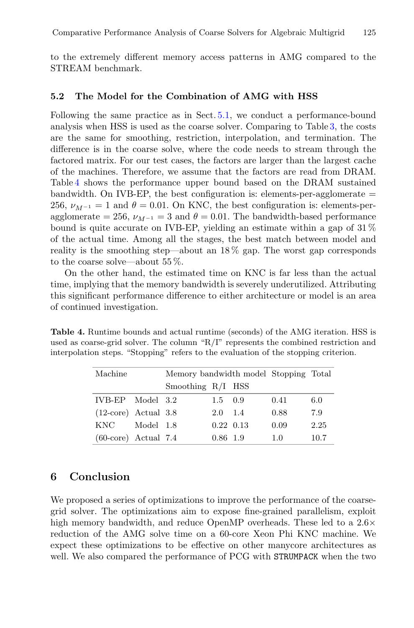to the extremely different memory access patterns in AMG compared to the STREAM benchmark.

#### **5.2 The Model for the Combination of AMG with HSS**

Following the same practice as in Sect. [5.1,](#page-8-3) we conduct a performance-bound analysis when HSS is used as the coarse solver. Comparing to Table [3,](#page-8-0) the costs are the same for smoothing, restriction, interpolation, and termination. The difference is in the coarse solve, where the code needs to stream through the factored matrix. For our test cases, the factors are larger than the largest cache of the machines. Therefore, we assume that the factors are read from DRAM. Table [4](#page-9-0) shows the performance upper bound based on the DRAM sustained bandwidth. On IVB-EP, the best configuration is: elements-per-agglomerate = 256,  $\nu_{M^{-1}} = 1$  and  $\theta = 0.01$ . On KNC, the best configuration is: elements-peragglomerate = 256,  $\nu_{M^{-1}}$  = 3 and  $\theta$  = 0.01. The bandwidth-based performance bound is quite accurate on IVB-EP, yielding an estimate within a gap of 31 % of the actual time. Among all the stages, the best match between model and reality is the smoothing step—about an 18 % gap. The worst gap corresponds to the coarse solve—about 55 %.

On the other hand, the estimated time on KNC is far less than the actual time, implying that the memory bandwidth is severely underutilized. Attributing this significant performance difference to either architecture or model is an area of continued investigation.

<span id="page-9-0"></span>**Table 4.** Runtime bounds and actual runtime (seconds) of the AMG iteration. HSS is used as coarse-grid solver. The column "R/I" represents the combined restriction and interpolation steps. "Stopping" refers to the evaluation of the stopping criterion.

| Machine                         |           | Memory bandwidth model Stopping Total |                 |                   |      |      |
|---------------------------------|-----------|---------------------------------------|-----------------|-------------------|------|------|
|                                 |           | Smoothing $R/I$ HSS                   |                 |                   |      |      |
| $IVB-EP$ Model 3.2              |           |                                       | $1.5 \quad 0.9$ |                   | 0.41 | 6.0  |
| $(12\text{-core})$ Actual 3.8   |           |                                       | $2.0 \quad 1.4$ |                   | 0.88 | 7.9  |
| KNC –                           | Model 1.8 |                                       |                 | $0.22 \quad 0.13$ | 0.09 | 2.25 |
| $(60\textrm{-core})$ Actual 7.4 |           |                                       | $0.86$ 1.9      |                   | 1.0  | 10.7 |

## **6 Conclusion**

We proposed a series of optimizations to improve the performance of the coarsegrid solver. The optimizations aim to expose fine-grained parallelism, exploit high memory bandwidth, and reduce OpenMP overheads. These led to a  $2.6\times$ reduction of the AMG solve time on a 60-core Xeon Phi KNC machine. We expect these optimizations to be effective on other manycore architectures as well. We also compared the performance of PCG with STRUMPACK when the two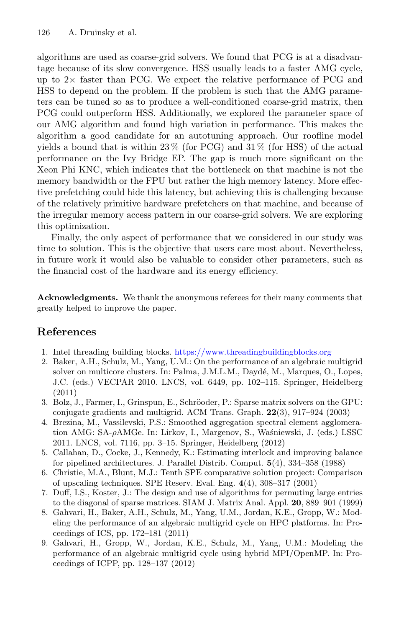algorithms are used as coarse-grid solvers. We found that PCG is at a disadvantage because of its slow convergence. HSS usually leads to a faster AMG cycle, up to 2× faster than PCG. We expect the relative performance of PCG and HSS to depend on the problem. If the problem is such that the AMG parameters can be tuned so as to produce a well-conditioned coarse-grid matrix, then PCG could outperform HSS. Additionally, we explored the parameter space of our AMG algorithm and found high variation in performance. This makes the algorithm a good candidate for an autotuning approach. Our roofline model yields a bound that is within  $23\%$  (for PCG) and  $31\%$  (for HSS) of the actual performance on the Ivy Bridge EP. The gap is much more significant on the Xeon Phi KNC, which indicates that the bottleneck on that machine is not the memory bandwidth or the FPU but rather the high memory latency. More effective prefetching could hide this latency, but achieving this is challenging because of the relatively primitive hardware prefetchers on that machine, and because of the irregular memory access pattern in our coarse-grid solvers. We are exploring this optimization.

Finally, the only aspect of performance that we considered in our study was time to solution. This is the objective that users care most about. Nevertheless, in future work it would also be valuable to consider other parameters, such as the financial cost of the hardware and its energy efficiency.

**Acknowledgments.** We thank the anonymous referees for their many comments that greatly helped to improve the paper.

## <span id="page-10-6"></span>**References**

- 1. Intel threading building blocks. <https://www.threadingbuildingblocks.org>
- <span id="page-10-1"></span>2. Baker, A.H., Schulz, M., Yang, U.M.: On the performance of an algebraic multigrid solver on multicore clusters. In: Palma, J.M.L.M., Daydé, M., Marques, O., Lopes, J.C. (eds.) VECPAR 2010. LNCS, vol. 6449, pp. 102–115. Springer, Heidelberg (2011)
- <span id="page-10-2"></span>3. Bolz, J., Farmer, I., Grinspun, E., Schröoder, P.: Sparse matrix solvers on the GPU: conjugate gradients and multigrid. ACM Trans. Graph. **22**(3), 917–924 (2003)
- <span id="page-10-0"></span>4. Brezina, M., Vassilevski, P.S.: Smoothed aggregation spectral element agglomeration AMG: SA-ρAMGe. In: Lirkov, I., Margenov, S., Waśniewski, J. (eds.) LSSC 2011. LNCS, vol. 7116, pp. 3–15. Springer, Heidelberg (2012)
- <span id="page-10-8"></span>5. Callahan, D., Cocke, J., Kennedy, K.: Estimating interlock and improving balance for pipelined architectures. J. Parallel Distrib. Comput. **5**(4), 334–358 (1988)
- <span id="page-10-5"></span>6. Christie, M.A., Blunt, M.J.: Tenth SPE comparative solution project: Comparison of upscaling techniques. SPE Reserv. Eval. Eng. **4**(4), 308–317 (2001)
- <span id="page-10-7"></span>7. Duff, I.S., Koster, J.: The design and use of algorithms for permuting large entries to the diagonal of sparse matrices. SIAM J. Matrix Anal. Appl. **20**, 889–901 (1999)
- <span id="page-10-3"></span>8. Gahvari, H., Baker, A.H., Schulz, M., Yang, U.M., Jordan, K.E., Gropp, W.: Modeling the performance of an algebraic multigrid cycle on HPC platforms. In: Proceedings of ICS, pp. 172–181 (2011)
- <span id="page-10-4"></span>9. Gahvari, H., Gropp, W., Jordan, K.E., Schulz, M., Yang, U.M.: Modeling the performance of an algebraic multigrid cycle using hybrid MPI/OpenMP. In: Proceedings of ICPP, pp. 128–137 (2012)